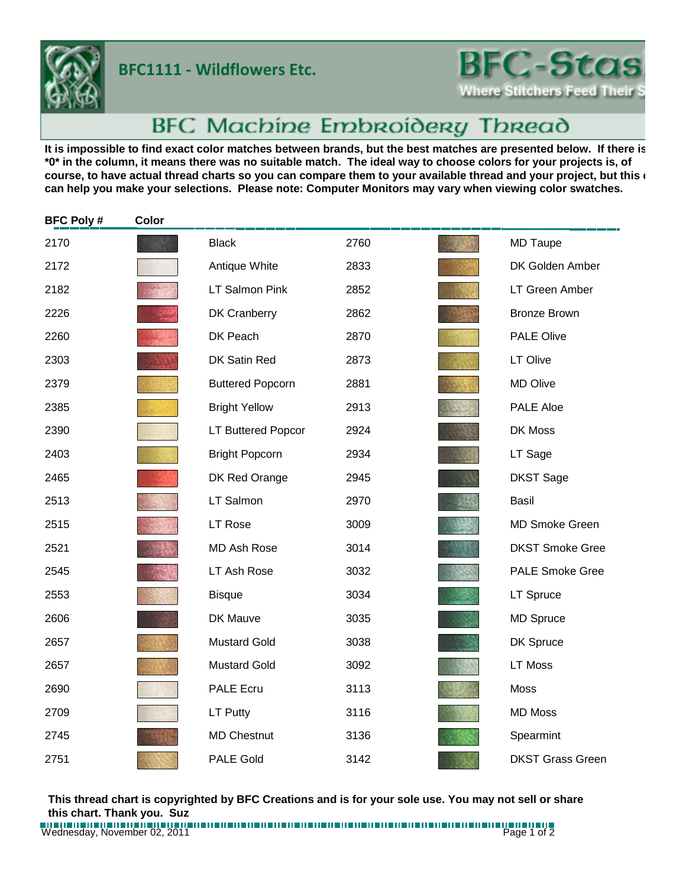## **BFC1111 - Wildflowers Etc.**



## BFC Machine Embroidery Thread

It is impossible to find exact color matches between brands, but the best matches are presented below. If there is **\*0\* in the column, it means there was no suitable match. The ideal way to choose colors for your projects is, of**  course, to have actual thread charts so you can compare them to your available thread and your project, but this **c can help you make your selections. Please note: Computer Monitors may vary when viewing color swatches.**

| <b>BFC Poly#</b> | Color |                           |      |                         |
|------------------|-------|---------------------------|------|-------------------------|
| 2170             |       | <b>Black</b>              | 2760 | <b>MD Taupe</b>         |
| 2172             |       | Antique White             | 2833 | DK Golden Amber         |
| 2182             |       | <b>LT Salmon Pink</b>     | 2852 | LT Green Amber          |
| 2226             |       | <b>DK Cranberry</b>       | 2862 | <b>Bronze Brown</b>     |
| 2260             |       | DK Peach                  | 2870 | <b>PALE Olive</b>       |
| 2303             |       | DK Satin Red              | 2873 | LT Olive                |
| 2379             |       | <b>Buttered Popcorn</b>   | 2881 | <b>MD Olive</b>         |
| 2385             |       | <b>Bright Yellow</b>      | 2913 | <b>PALE Aloe</b>        |
| 2390             |       | <b>LT Buttered Popcor</b> | 2924 | DK Moss                 |
| 2403             |       | <b>Bright Popcorn</b>     | 2934 | LT Sage                 |
| 2465             |       | DK Red Orange             | 2945 | <b>DKST Sage</b>        |
| 2513             |       | LT Salmon                 | 2970 | <b>Basil</b>            |
| 2515             |       | <b>LT Rose</b>            | 3009 | <b>MD Smoke Green</b>   |
| 2521             |       | <b>MD Ash Rose</b>        | 3014 | <b>DKST Smoke Gree</b>  |
| 2545             |       | LT Ash Rose               | 3032 | <b>PALE Smoke Gree</b>  |
| 2553             |       | <b>Bisque</b>             | 3034 | LT Spruce               |
| 2606             |       | DK Mauve                  | 3035 | <b>MD Spruce</b>        |
| 2657             |       | <b>Mustard Gold</b>       | 3038 | DK Spruce               |
| 2657             |       | <b>Mustard Gold</b>       | 3092 | LT Moss                 |
| 2690             |       | <b>PALE Ecru</b>          | 3113 | <b>Moss</b>             |
| 2709             |       | LT Putty                  | 3116 | <b>MD Moss</b>          |
| 2745             |       | <b>MD Chestnut</b>        | 3136 | Spearmint               |
| 2751             |       | <b>PALE Gold</b>          | 3142 | <b>DKST Grass Green</b> |

**This thread chart is copyrighted by BFC Creations and is for your sole use. You may not sell or share this chart. Thank you. Suz**